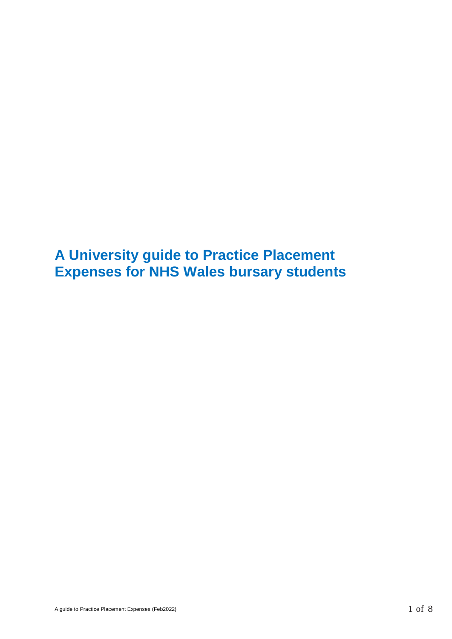**A University guide to Practice Placement Expenses for NHS Wales bursary students**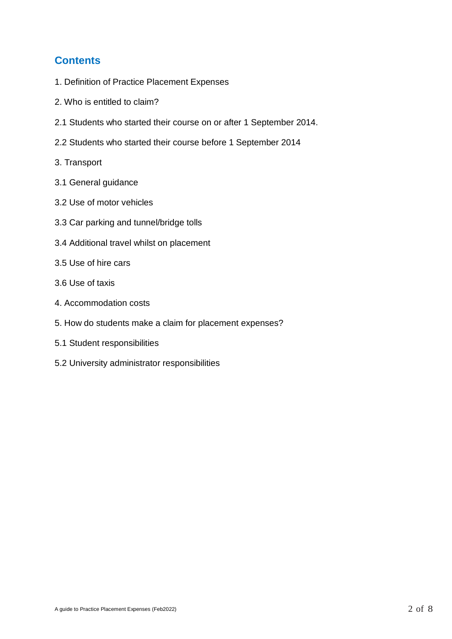# **Contents**

- 1. Definition of Practice Placement Expenses
- 2. Who is entitled to claim?
- 2.1 Students who started their course on or after 1 September 2014.
- 2.2 Students who started their course before 1 September 2014
- 3. Transport
- 3.1 General guidance
- 3.2 Use of motor vehicles
- 3.3 Car parking and tunnel/bridge tolls
- 3.4 Additional travel whilst on placement
- 3.5 Use of hire cars
- 3.6 Use of taxis
- 4. Accommodation costs
- 5. How do students make a claim for placement expenses?
- 5.1 Student responsibilities
- 5.2 University administrator responsibilities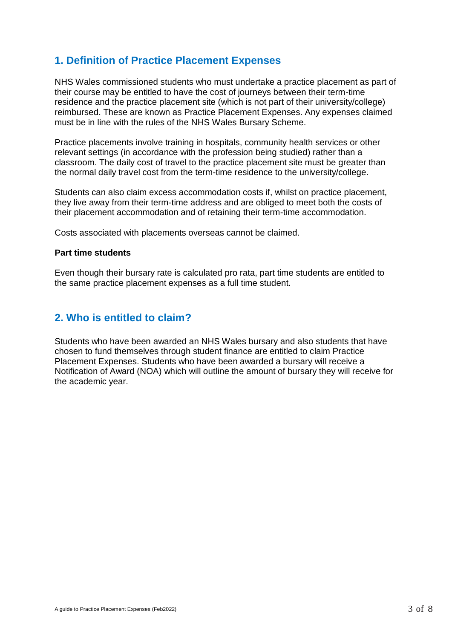# **1. Definition of Practice Placement Expenses**

NHS Wales commissioned students who must undertake a practice placement as part of their course may be entitled to have the cost of journeys between their term-time residence and the practice placement site (which is not part of their university/college) reimbursed. These are known as Practice Placement Expenses. Any expenses claimed must be in line with the rules of the NHS Wales Bursary Scheme.

Practice placements involve training in hospitals, community health services or other relevant settings (in accordance with the profession being studied) rather than a classroom. The daily cost of travel to the practice placement site must be greater than the normal daily travel cost from the term-time residence to the university/college.

Students can also claim excess accommodation costs if, whilst on practice placement, they live away from their term-time address and are obliged to meet both the costs of their placement accommodation and of retaining their term-time accommodation.

Costs associated with placements overseas cannot be claimed.

#### **Part time students**

Even though their bursary rate is calculated pro rata, part time students are entitled to the same practice placement expenses as a full time student.

### **2. Who is entitled to claim?**

Students who have been awarded an NHS Wales bursary and also students that have chosen to fund themselves through student finance are entitled to claim Practice Placement Expenses. Students who have been awarded a bursary will receive a Notification of Award (NOA) which will outline the amount of bursary they will receive for the academic year.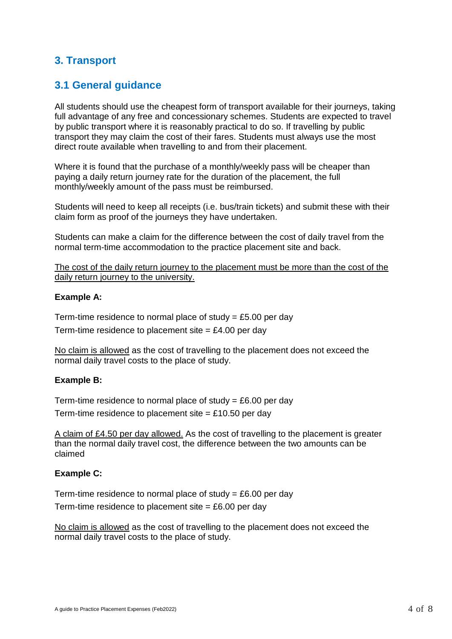# **3. Transport**

# **3.1 General guidance**

All students should use the cheapest form of transport available for their journeys, taking full advantage of any free and concessionary schemes. Students are expected to travel by public transport where it is reasonably practical to do so. If travelling by public transport they may claim the cost of their fares. Students must always use the most direct route available when travelling to and from their placement.

Where it is found that the purchase of a monthly/weekly pass will be cheaper than paying a daily return journey rate for the duration of the placement, the full monthly/weekly amount of the pass must be reimbursed.

Students will need to keep all receipts (i.e. bus/train tickets) and submit these with their claim form as proof of the journeys they have undertaken.

Students can make a claim for the difference between the cost of daily travel from the normal term-time accommodation to the practice placement site and back.

The cost of the daily return journey to the placement must be more than the cost of the daily return journey to the university.

#### **Example A:**

Term-time residence to normal place of study  $=$  £5.00 per day Term-time residence to placement site  $=$  £4.00 per day

No claim is allowed as the cost of travelling to the placement does not exceed the normal daily travel costs to the place of study.

#### **Example B:**

Term-time residence to normal place of study  $= \text{\pounds}6.00$  per day

Term-time residence to placement site  $=$  £10.50 per day

A claim of £4.50 per day allowed. As the cost of travelling to the placement is greater than the normal daily travel cost, the difference between the two amounts can be claimed

#### **Example C:**

Term-time residence to normal place of study =  $£6.00$  per day Term-time residence to placement site  $= £6.00$  per day

No claim is allowed as the cost of travelling to the placement does not exceed the normal daily travel costs to the place of study.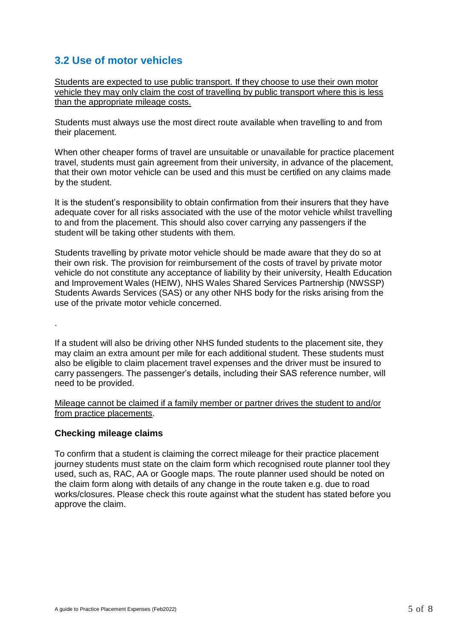# **3.2 Use of motor vehicles**

Students are expected to use public transport. If they choose to use their own motor vehicle they may only claim the cost of travelling by public transport where this is less than the appropriate mileage costs.

Students must always use the most direct route available when travelling to and from their placement.

When other cheaper forms of travel are unsuitable or unavailable for practice placement travel, students must gain agreement from their university, in advance of the placement, that their own motor vehicle can be used and this must be certified on any claims made by the student.

It is the student's responsibility to obtain confirmation from their insurers that they have adequate cover for all risks associated with the use of the motor vehicle whilst travelling to and from the placement. This should also cover carrying any passengers if the student will be taking other students with them.

Students travelling by private motor vehicle should be made aware that they do so at their own risk. The provision for reimbursement of the costs of travel by private motor vehicle do not constitute any acceptance of liability by their university, Health Education and Improvement Wales (HEIW), NHS Wales Shared Services Partnership (NWSSP) Students Awards Services (SAS) or any other NHS body for the risks arising from the use of the private motor vehicle concerned.

If a student will also be driving other NHS funded students to the placement site, they may claim an extra amount per mile for each additional student. These students must also be eligible to claim placement travel expenses and the driver must be insured to carry passengers. The passenger's details, including their SAS reference number, will need to be provided.

Mileage cannot be claimed if a family member or partner drives the student to and/or from practice placements.

#### **Checking mileage claims**

.

To confirm that a student is claiming the correct mileage for their practice placement journey students must state on the claim form which recognised route planner tool they used, such as, RAC, AA or Google maps. The route planner used should be noted on the claim form along with details of any change in the route taken e.g. due to road works/closures. Please check this route against what the student has stated before you approve the claim.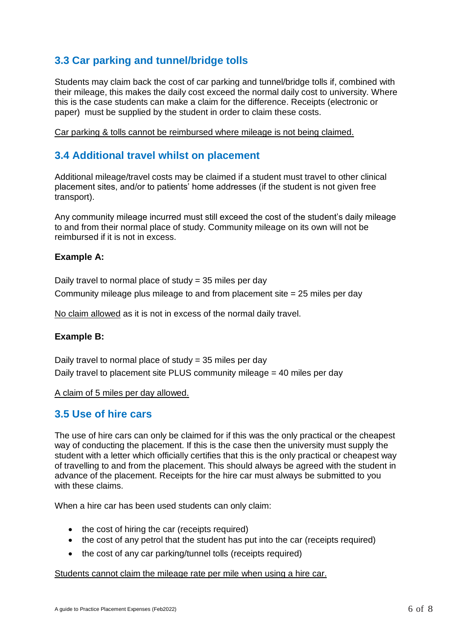# **3.3 Car parking and tunnel/bridge tolls**

Students may claim back the cost of car parking and tunnel/bridge tolls if, combined with their mileage, this makes the daily cost exceed the normal daily cost to university. Where this is the case students can make a claim for the difference. Receipts (electronic or paper) must be supplied by the student in order to claim these costs.

Car parking & tolls cannot be reimbursed where mileage is not being claimed.

## **3.4 Additional travel whilst on placement**

Additional mileage/travel costs may be claimed if a student must travel to other clinical placement sites, and/or to patients' home addresses (if the student is not given free transport).

Any community mileage incurred must still exceed the cost of the student's daily mileage to and from their normal place of study. Community mileage on its own will not be reimbursed if it is not in excess.

#### **Example A:**

Daily travel to normal place of study = 35 miles per day Community mileage plus mileage to and from placement site = 25 miles per day

No claim allowed as it is not in excess of the normal daily travel.

#### **Example B:**

Daily travel to normal place of study = 35 miles per day Daily travel to placement site PLUS community mileage = 40 miles per day

A claim of 5 miles per day allowed.

### **3.5 Use of hire cars**

The use of hire cars can only be claimed for if this was the only practical or the cheapest way of conducting the placement. If this is the case then the university must supply the student with a letter which officially certifies that this is the only practical or cheapest way of travelling to and from the placement. This should always be agreed with the student in advance of the placement. Receipts for the hire car must always be submitted to you with these claims.

When a hire car has been used students can only claim:

- the cost of hiring the car (receipts required)
- the cost of any petrol that the student has put into the car (receipts required)
- the cost of any car parking/tunnel tolls (receipts required)

#### Students cannot claim the mileage rate per mile when using a hire car.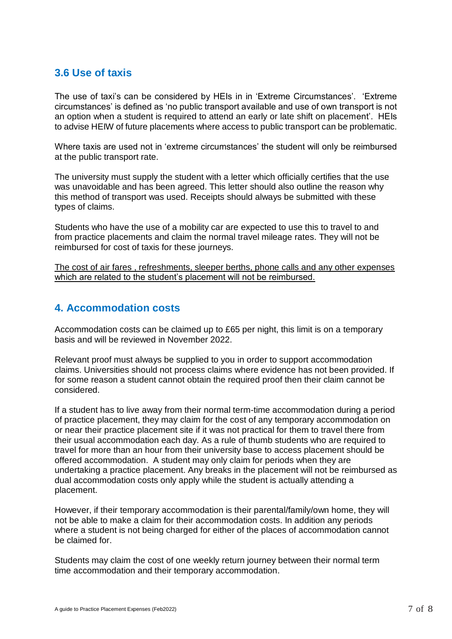# **3.6 Use of taxis**

The use of taxi's can be considered by HEIs in in 'Extreme Circumstances'. 'Extreme circumstances' is defined as 'no public transport available and use of own transport is not an option when a student is required to attend an early or late shift on placement'. HEIs to advise HEIW of future placements where access to public transport can be problematic.

Where taxis are used not in 'extreme circumstances' the student will only be reimbursed at the public transport rate.

The university must supply the student with a letter which officially certifies that the use was unavoidable and has been agreed. This letter should also outline the reason why this method of transport was used. Receipts should always be submitted with these types of claims.

Students who have the use of a mobility car are expected to use this to travel to and from practice placements and claim the normal travel mileage rates. They will not be reimbursed for cost of taxis for these journeys.

The cost of air fares , refreshments, sleeper berths, phone calls and any other expenses which are related to the student's placement will not be reimbursed.

## **4. Accommodation costs**

Accommodation costs can be claimed up to £65 per night, this limit is on a temporary basis and will be reviewed in November 2022.

Relevant proof must always be supplied to you in order to support accommodation claims. Universities should not process claims where evidence has not been provided. If for some reason a student cannot obtain the required proof then their claim cannot be considered.

If a student has to live away from their normal term-time accommodation during a period of practice placement, they may claim for the cost of any temporary accommodation on or near their practice placement site if it was not practical for them to travel there from their usual accommodation each day. As a rule of thumb students who are required to travel for more than an hour from their university base to access placement should be offered accommodation. A student may only claim for periods when they are undertaking a practice placement. Any breaks in the placement will not be reimbursed as dual accommodation costs only apply while the student is actually attending a placement.

However, if their temporary accommodation is their parental/family/own home, they will not be able to make a claim for their accommodation costs. In addition any periods where a student is not being charged for either of the places of accommodation cannot be claimed for.

Students may claim the cost of one weekly return journey between their normal term time accommodation and their temporary accommodation.